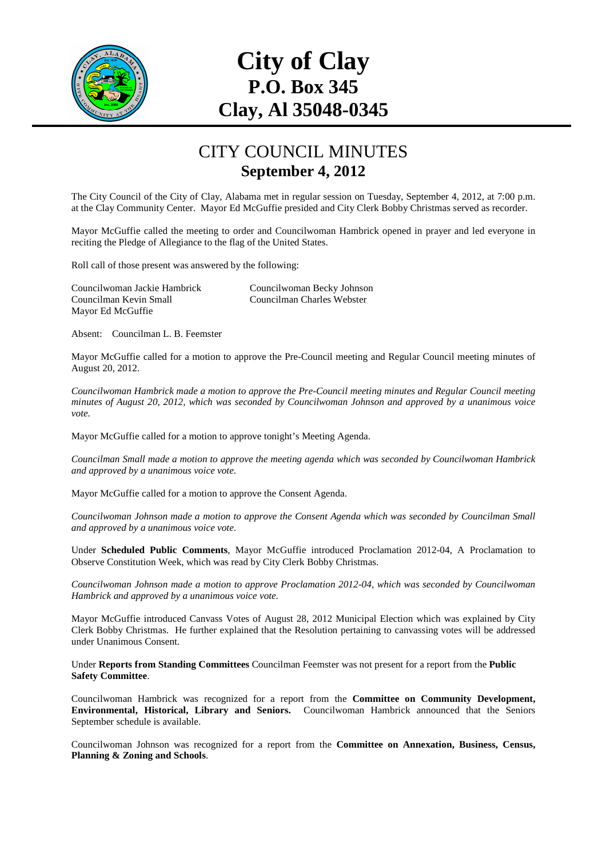

## **City of Clay P.O. Box 345 Clay, Al 35048-0345**

## CITY COUNCIL MINUTES **September 4, 2012**

The City Council of the City of Clay, Alabama met in regular session on Tuesday, September 4, 2012, at 7:00 p.m. at the Clay Community Center. Mayor Ed McGuffie presided and City Clerk Bobby Christmas served as recorder.

Mayor McGuffie called the meeting to order and Councilwoman Hambrick opened in prayer and led everyone in reciting the Pledge of Allegiance to the flag of the United States.

Roll call of those present was answered by the following:

Councilwoman Jackie Hambrick Councilwoman Becky Johnson Councilman Kevin Small Councilman Charles Webster Mayor Ed McGuffie

Absent: Councilman L. B. Feemster

Mayor McGuffie called for a motion to approve the Pre-Council meeting and Regular Council meeting minutes of August 20, 2012.

*Councilwoman Hambrick made a motion to approve the Pre-Council meeting minutes and Regular Council meeting minutes of August 20, 2012, which was seconded by Councilwoman Johnson and approved by a unanimous voice vote.* 

Mayor McGuffie called for a motion to approve tonight's Meeting Agenda.

*Councilman Small made a motion to approve the meeting agenda which was seconded by Councilwoman Hambrick and approved by a unanimous voice vote.* 

Mayor McGuffie called for a motion to approve the Consent Agenda.

*Councilwoman Johnson made a motion to approve the Consent Agenda which was seconded by Councilman Small and approved by a unanimous voice vote.* 

Under **Scheduled Public Comments**, Mayor McGuffie introduced Proclamation 2012-04, A Proclamation to Observe Constitution Week, which was read by City Clerk Bobby Christmas.

*Councilwoman Johnson made a motion to approve Proclamation 2012-04, which was seconded by Councilwoman Hambrick and approved by a unanimous voice vote.* 

Mayor McGuffie introduced Canvass Votes of August 28, 2012 Municipal Election which was explained by City Clerk Bobby Christmas. He further explained that the Resolution pertaining to canvassing votes will be addressed under Unanimous Consent.

Under **Reports from Standing Committees** Councilman Feemster was not present for a report from the **Public Safety Committee**.

Councilwoman Hambrick was recognized for a report from the **Committee on Community Development, Environmental, Historical, Library and Seniors.** Councilwoman Hambrick announced that the Seniors September schedule is available.

Councilwoman Johnson was recognized for a report from the **Committee on Annexation, Business, Census, Planning & Zoning and Schools**.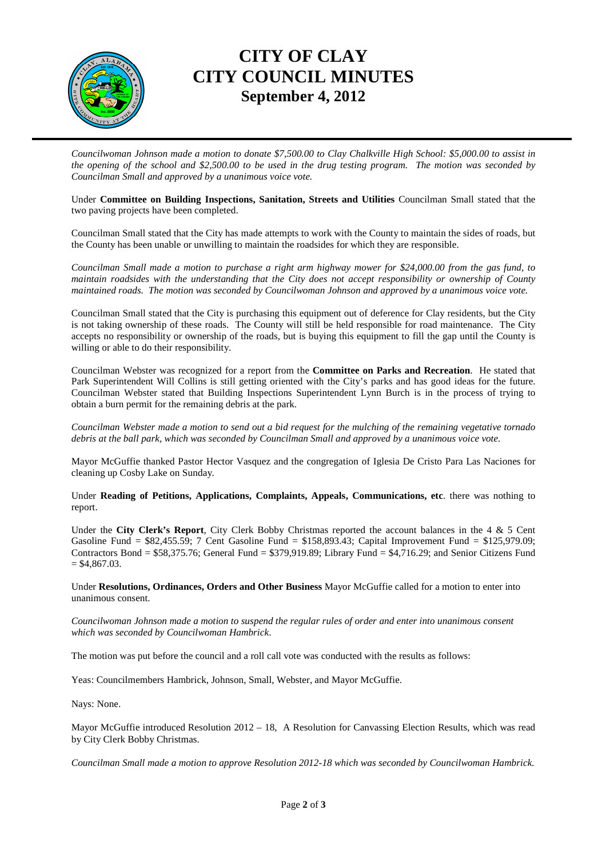

## **CITY OF CLAY CITY COUNCIL MINUTES September 4, 2012**

*Councilwoman Johnson made a motion to donate \$7,500.00 to Clay Chalkville High School: \$5,000.00 to assist in the opening of the school and \$2,500.00 to be used in the drug testing program. The motion was seconded by Councilman Small and approved by a unanimous voice vote.* 

Under **Committee on Building Inspections, Sanitation, Streets and Utilities** Councilman Small stated that the two paving projects have been completed.

Councilman Small stated that the City has made attempts to work with the County to maintain the sides of roads, but the County has been unable or unwilling to maintain the roadsides for which they are responsible.

*Councilman Small made a motion to purchase a right arm highway mower for \$24,000.00 from the gas fund, to maintain roadsides with the understanding that the City does not accept responsibility or ownership of County maintained roads. The motion was seconded by Councilwoman Johnson and approved by a unanimous voice vote.* 

Councilman Small stated that the City is purchasing this equipment out of deference for Clay residents, but the City is not taking ownership of these roads. The County will still be held responsible for road maintenance. The City accepts no responsibility or ownership of the roads, but is buying this equipment to fill the gap until the County is willing or able to do their responsibility.

Councilman Webster was recognized for a report from the **Committee on Parks and Recreation**. He stated that Park Superintendent Will Collins is still getting oriented with the City's parks and has good ideas for the future. Councilman Webster stated that Building Inspections Superintendent Lynn Burch is in the process of trying to obtain a burn permit for the remaining debris at the park.

*Councilman Webster made a motion to send out a bid request for the mulching of the remaining vegetative tornado debris at the ball park, which was seconded by Councilman Small and approved by a unanimous voice vote.* 

Mayor McGuffie thanked Pastor Hector Vasquez and the congregation of Iglesia De Cristo Para Las Naciones for cleaning up Cosby Lake on Sunday.

Under **Reading of Petitions, Applications, Complaints, Appeals, Communications, etc**. there was nothing to report.

Under the **City Clerk's Report**, City Clerk Bobby Christmas reported the account balances in the 4 & 5 Cent Gasoline Fund = \$82,455.59; 7 Cent Gasoline Fund = \$158,893.43; Capital Improvement Fund = \$125,979.09; Contractors Bond = \$58,375.76; General Fund = \$379,919.89; Library Fund = \$4,716.29; and Senior Citizens Fund  $=$  \$4,867.03.

Under **Resolutions, Ordinances, Orders and Other Business** Mayor McGuffie called for a motion to enter into unanimous consent.

*Councilwoman Johnson made a motion to suspend the regular rules of order and enter into unanimous consent which was seconded by Councilwoman Hambrick*.

The motion was put before the council and a roll call vote was conducted with the results as follows:

Yeas: Councilmembers Hambrick, Johnson, Small, Webster, and Mayor McGuffie.

Nays: None.

Mayor McGuffie introduced Resolution 2012 – 18, A Resolution for Canvassing Election Results, which was read by City Clerk Bobby Christmas.

*Councilman Small made a motion to approve Resolution 2012-18 which was seconded by Councilwoman Hambrick.*